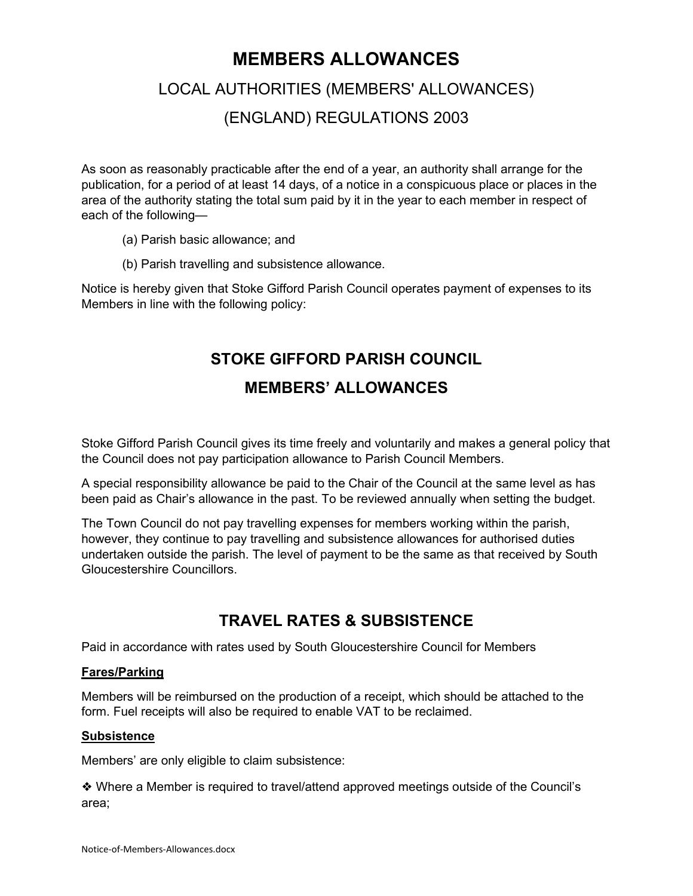# **MEMBERS ALLOWANCES**

# LOCAL AUTHORITIES (MEMBERS' ALLOWANCES)

# (ENGLAND) REGULATIONS 2003

As soon as reasonably practicable after the end of a year, an authority shall arrange for the publication, for a period of at least 14 days, of a notice in a conspicuous place or places in the area of the authority stating the total sum paid by it in the year to each member in respect of each of the following—

- (a) Parish basic allowance; and
- (b) Parish travelling and subsistence allowance.

Notice is hereby given that Stoke Gifford Parish Council operates payment of expenses to its Members in line with the following policy:

# **STOKE GIFFORD PARISH COUNCIL**

### **MEMBERS' ALLOWANCES**

Stoke Gifford Parish Council gives its time freely and voluntarily and makes a general policy that the Council does not pay participation allowance to Parish Council Members.

A special responsibility allowance be paid to the Chair of the Council at the same level as has been paid as Chair's allowance in the past. To be reviewed annually when setting the budget.

The Town Council do not pay travelling expenses for members working within the parish, however, they continue to pay travelling and subsistence allowances for authorised duties undertaken outside the parish. The level of payment to be the same as that received by South Gloucestershire Councillors.

# **TRAVEL RATES & SUBSISTENCE**

Paid in accordance with rates used by South Gloucestershire Council for Members

#### **Fares/Parking**

Members will be reimbursed on the production of a receipt, which should be attached to the form. Fuel receipts will also be required to enable VAT to be reclaimed.

#### **Subsistence**

Members' are only eligible to claim subsistence:

❖ Where a Member is required to travel/attend approved meetings outside of the Council's area;